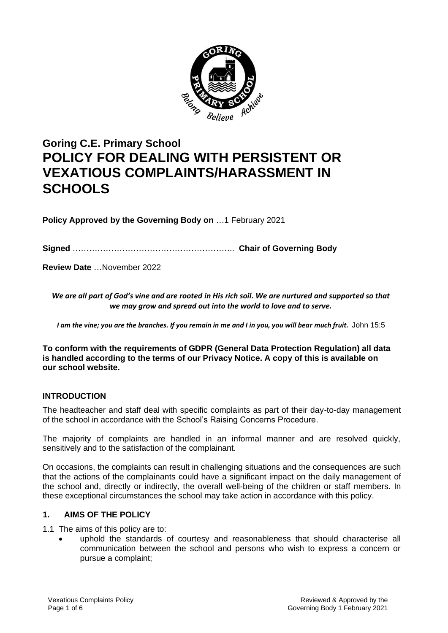

# **Goring C.E. Primary School POLICY FOR DEALING WITH PERSISTENT OR VEXATIOUS COMPLAINTS/HARASSMENT IN SCHOOLS**

**Policy Approved by the Governing Body on** …1 February 2021

**Signed** ………………………………………………….. **Chair of Governing Body**

**Review Date** …November 2022

*We are all part of God's vine and are rooted in His rich soil. We are nurtured and supported so that we may grow and spread out into the world to love and to serve.*

*I am the vine; you are the branches. If you remain in me and I in you, you will bear much fruit.* John 15:5

**To conform with the requirements of GDPR (General Data Protection Regulation) all data is handled according to the terms of our Privacy Notice. A copy of this is available on our school website.** 

# **INTRODUCTION**

The headteacher and staff deal with specific complaints as part of their day-to-day management of the school in accordance with the School's Raising Concerns Procedure.

The majority of complaints are handled in an informal manner and are resolved quickly, sensitively and to the satisfaction of the complainant.

On occasions, the complaints can result in challenging situations and the consequences are such that the actions of the complainants could have a significant impact on the daily management of the school and, directly or indirectly, the overall well-being of the children or staff members. In these exceptional circumstances the school may take action in accordance with this policy.

## **1. AIMS OF THE POLICY**

1.1 The aims of this policy are to:

• uphold the standards of courtesy and reasonableness that should characterise all communication between the school and persons who wish to express a concern or pursue a complaint;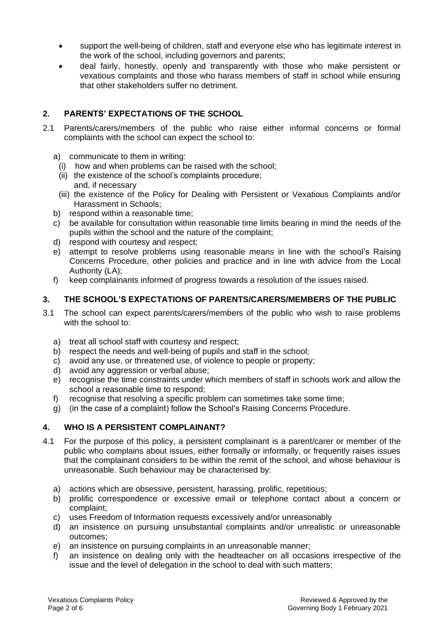- support the well-being of children, staff and everyone else who has legitimate interest in the work of the school, including governors and parents;
- deal fairly, honestly, openly and transparently with those who make persistent or vexatious complaints and those who harass members of staff in school while ensuring that other stakeholders suffer no detriment.

# **2. PARENTS' EXPECTATIONS OF THE SCHOOL**

- 2.1 Parents/carers/members of the public who raise either informal concerns or formal complaints with the school can expect the school to:
	- a) communicate to them in writing:
		- (i) how and when problems can be raised with the school;
	- (ii) the existence of the school's complaints procedure; and, if necessary
	- (iii) the existence of the Policy for Dealing with Persistent or Vexatious Complaints and/or Harassment in Schools;
	- b) respond within a reasonable time;
	- c) be available for consultation within reasonable time limits bearing in mind the needs of the pupils within the school and the nature of the complaint;
	- d) respond with courtesy and respect;
	- e) attempt to resolve problems using reasonable means in line with the school's Raising Concerns Procedure, other policies and practice and in line with advice from the Local Authority (LA);
	- f) keep complainants informed of progress towards a resolution of the issues raised.

# **3. THE SCHOOL'S EXPECTATIONS OF PARENTS/CARERS/MEMBERS OF THE PUBLIC**

- 3.1 The school can expect parents/carers/members of the public who wish to raise problems with the school to:
	- a) treat all school staff with courtesy and respect;
	- b) respect the needs and well-being of pupils and staff in the school;
	- c) avoid any use, or threatened use, of violence to people or property;
	- d) avoid any aggression or verbal abuse;
	- e) recognise the time constraints under which members of staff in schools work and allow the school a reasonable time to respond;
	- f) recognise that resolving a specific problem can sometimes take some time;
	- g) (in the case of a complaint) follow the School's Raising Concerns Procedure.

# **4. WHO IS A PERSISTENT COMPLAINANT?**

- 4.1 For the purpose of this policy, a persistent complainant is a parent/carer or member of the public who complains about issues, either formally or informally, or frequently raises issues that the complainant considers to be within the remit of the school, and whose behaviour is unreasonable. Such behaviour may be characterised by:
	- a) actions which are obsessive, persistent, harassing, prolific, repetitious;
	- b) prolific correspondence or excessive email or telephone contact about a concern or complaint;
	- c) uses Freedom of Information requests excessively and/or unreasonably
	- d) an insistence on pursuing unsubstantial complaints and/or unrealistic or unreasonable outcomes;
	- e) an insistence on pursuing complaints in an unreasonable manner;
	- f) an insistence on dealing only with the headteacher on all occasions irrespective of the issue and the level of delegation in the school to deal with such matters;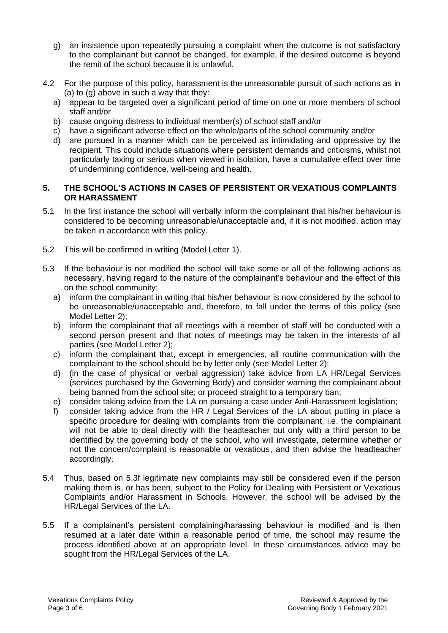- g) an insistence upon repeatedly pursuing a complaint when the outcome is not satisfactory to the complainant but cannot be changed, for example, if the desired outcome is beyond the remit of the school because it is unlawful.
- 4.2 For the purpose of this policy, harassment is the unreasonable pursuit of such actions as in (a) to (g) above in such a way that they:
	- a) appear to be targeted over a significant period of time on one or more members of school staff and/or
	- b) cause ongoing distress to individual member(s) of school staff and/or
	- c) have a significant adverse effect on the whole/parts of the school community and/or
	- d) are pursued in a manner which can be perceived as intimidating and oppressive by the recipient. This could include situations where persistent demands and criticisms, whilst not particularly taxing or serious when viewed in isolation, have a cumulative effect over time of undermining confidence, well-being and health.

## **5. THE SCHOOL'S ACTIONS IN CASES OF PERSISTENT OR VEXATIOUS COMPLAINTS OR HARASSMENT**

- 5.1 In the first instance the school will verbally inform the complainant that his/her behaviour is considered to be becoming unreasonable/unacceptable and, if it is not modified, action may be taken in accordance with this policy.
- 5.2 This will be confirmed in writing (Model Letter 1).
- 5.3 If the behaviour is not modified the school will take some or all of the following actions as necessary, having regard to the nature of the complainant's behaviour and the effect of this on the school community:
	- a) inform the complainant in writing that his/her behaviour is now considered by the school to be unreasonable/unacceptable and, therefore, to fall under the terms of this policy (see Model Letter 2);
	- b) inform the complainant that all meetings with a member of staff will be conducted with a second person present and that notes of meetings may be taken in the interests of all parties (see Model Letter 2);
	- c) inform the complainant that, except in emergencies, all routine communication with the complainant to the school should be by letter only (see Model Letter 2);
	- d) (in the case of physical or verbal aggression) take advice from LA HR/Legal Services (services purchased by the Governing Body) and consider warning the complainant about being banned from the school site; or proceed straight to a temporary ban;
	- e) consider taking advice from the LA on pursuing a case under Anti-Harassment legislation;
	- f) consider taking advice from the HR / Legal Services of the LA about putting in place a specific procedure for dealing with complaints from the complainant, i.e. the complainant will not be able to deal directly with the headteacher but only with a third person to be identified by the governing body of the school, who will investigate, determine whether or not the concern/complaint is reasonable or vexatious, and then advise the headteacher accordingly.
- 5.4 Thus, based on 5.3f legitimate new complaints may still be considered even if the person making them is, or has been, subject to the Policy for Dealing with Persistent or Vexatious Complaints and/or Harassment in Schools. However, the school will be advised by the HR/Legal Services of the LA.
- 5.5 If a complainant's persistent complaining/harassing behaviour is modified and is then resumed at a later date within a reasonable period of time, the school may resume the process identified above at an appropriate level. In these circumstances advice may be sought from the HR/Legal Services of the LA.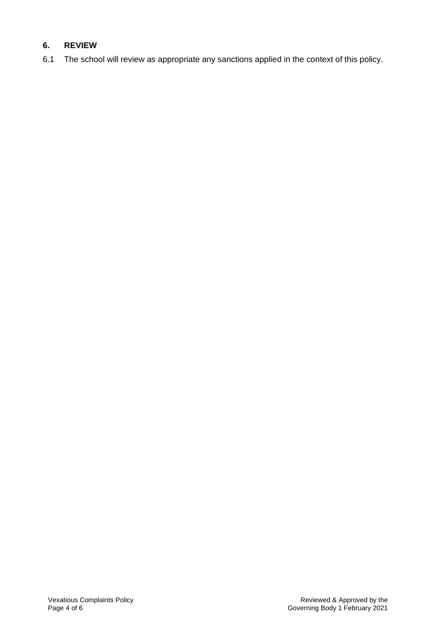# **6. REVIEW**

6.1 The school will review as appropriate any sanctions applied in the context of this policy.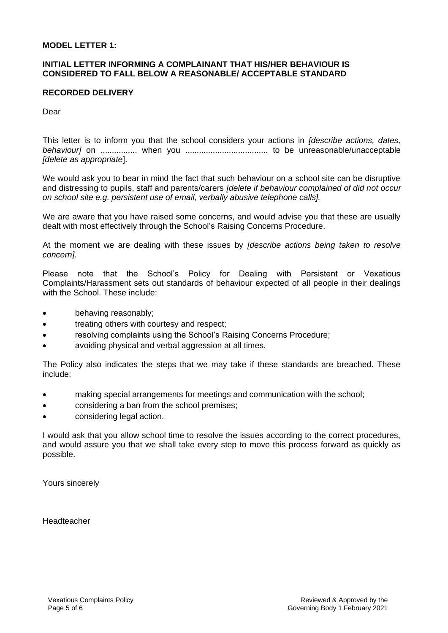#### **MODEL LETTER 1:**

## **INITIAL LETTER INFORMING A COMPLAINANT THAT HIS/HER BEHAVIOUR IS CONSIDERED TO FALL BELOW A REASONABLE/ ACCEPTABLE STANDARD**

#### **RECORDED DELIVERY**

Dear

This letter is to inform you that the school considers your actions in *[describe actions, dates, behaviour]* on ................ when you .................................... to be unreasonable/unacceptable *[delete as appropriate*].

We would ask you to bear in mind the fact that such behaviour on a school site can be disruptive and distressing to pupils, staff and parents/carers *[delete if behaviour complained of did not occur on school site e.g. persistent use of email, verbally abusive telephone calls].* 

We are aware that you have raised some concerns, and would advise you that these are usually dealt with most effectively through the School's Raising Concerns Procedure.

At the moment we are dealing with these issues by *[describe actions being taken to resolve concern]*.

Please note that the School's Policy for Dealing with Persistent or Vexatious Complaints/Harassment sets out standards of behaviour expected of all people in their dealings with the School. These include:

- behaving reasonably;
- treating others with courtesy and respect;
- resolving complaints using the School's Raising Concerns Procedure;
- avoiding physical and verbal aggression at all times.

The Policy also indicates the steps that we may take if these standards are breached. These include:

- making special arrangements for meetings and communication with the school;
- considering a ban from the school premises;
- considering legal action.

I would ask that you allow school time to resolve the issues according to the correct procedures, and would assure you that we shall take every step to move this process forward as quickly as possible.

Yours sincerely

Headteacher